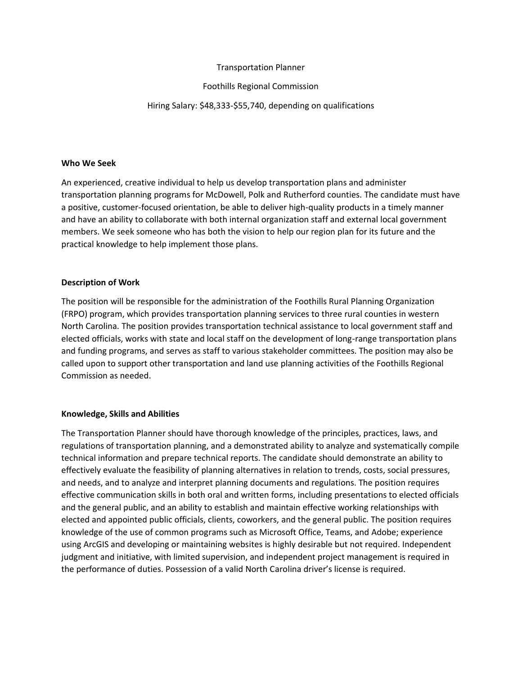## Transportation Planner

# Foothills Regional Commission

# Hiring Salary: \$48,333-\$55,740, depending on qualifications

#### **Who We Seek**

An experienced, creative individual to help us develop transportation plans and administer transportation planning programs for McDowell, Polk and Rutherford counties. The candidate must have a positive, customer-focused orientation, be able to deliver high-quality products in a timely manner and have an ability to collaborate with both internal organization staff and external local government members. We seek someone who has both the vision to help our region plan for its future and the practical knowledge to help implement those plans.

## **Description of Work**

The position will be responsible for the administration of the Foothills Rural Planning Organization (FRPO) program, which provides transportation planning services to three rural counties in western North Carolina. The position provides transportation technical assistance to local government staff and elected officials, works with state and local staff on the development of long-range transportation plans and funding programs, and serves as staff to various stakeholder committees. The position may also be called upon to support other transportation and land use planning activities of the Foothills Regional Commission as needed.

## **Knowledge, Skills and Abilities**

The Transportation Planner should have thorough knowledge of the principles, practices, laws, and regulations of transportation planning, and a demonstrated ability to analyze and systematically compile technical information and prepare technical reports. The candidate should demonstrate an ability to effectively evaluate the feasibility of planning alternatives in relation to trends, costs, social pressures, and needs, and to analyze and interpret planning documents and regulations. The position requires effective communication skills in both oral and written forms, including presentations to elected officials and the general public, and an ability to establish and maintain effective working relationships with elected and appointed public officials, clients, coworkers, and the general public. The position requires knowledge of the use of common programs such as Microsoft Office, Teams, and Adobe; experience using ArcGIS and developing or maintaining websites is highly desirable but not required. Independent judgment and initiative, with limited supervision, and independent project management is required in the performance of duties. Possession of a valid North Carolina driver's license is required.